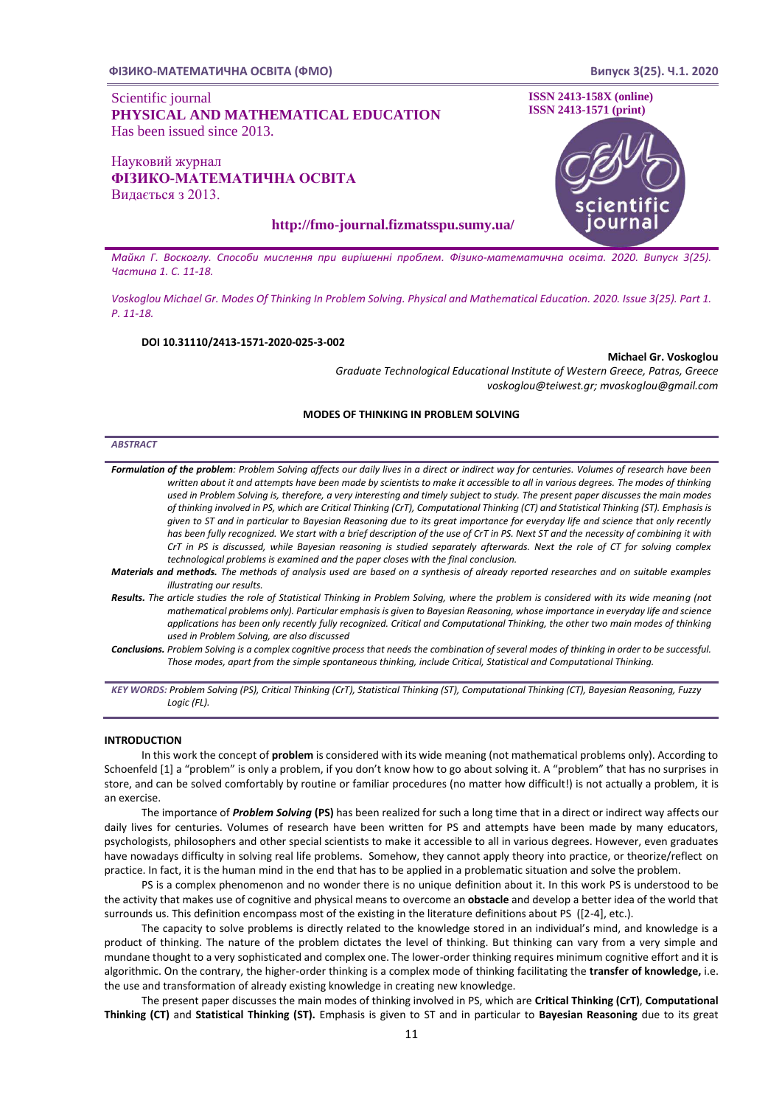#### **ФІЗИКО-МАТЕМАТИЧНА ОСВІТА (ФМО) Випуск 3(25). Ч.1. 2020 .**

# Scientific journal **PHYSICAL AND MATHEMATICAL EDUCATION** Has been issued since 2013.

Науковий журнал **ФІЗИКО-МАТЕМАТИЧНА ОСВІТА** Видається з 2013.

## **http://fmo-journal.fizmatsspu.sumy.ua/**

**ISSN 2413-1571 (print)**

**ISSN 2413-158X (online)** 

*Майкл Г. Воскоглу. Способи мислення при вирішенні проблем. Фізико-математична освіта. 2020. Випуск 3(25). Частина 1. С. 11-18.*

*Voskoglou Michael Gr. Modes Of Thinking In Problem Solving. Physical and Mathematical Education. 2020. Issue 3(25). Рart 1. Р. 11-18.*

## **DOI 10.31110/2413-1571-2020-025-3-002**

#### **Michael Gr. Voskoglou**

*Graduate Technological Educational Institute of Western Greece, Patras, Greece voskoglou@teiwest.gr; mvoskoglou@gmail.com*

## **MODES OF THINKING IN PROBLEM SOLVING**

#### *ABSTRACT*

*Formulation of the problem: Problem Solving affects our daily lives in a direct or indirect way for centuries. Volumes of research have been written about it and attempts have been made by scientists to make it accessible to all in various degrees. The modes of thinking used in Problem Solving is, therefore, a very interesting and timely subject to study. The present paper discusses the main modes of thinking involved in PS, which are Critical Thinking (CrT), Computational Thinking (CT) and Statistical Thinking (ST). Emphasis is given to ST and in particular to Bayesian Reasoning due to its great importance for everyday life and science that only recently has been fully recognized. We start with a brief description of the use of CrT in PS. Next ST and the necessity of combining it with CrT in PS is discussed, while Bayesian reasoning is studied separately afterwards. Next the role of CT for solving complex technological problems is examined and the paper closes with the final conclusion.*

*Materials and methods. The methods of analysis used are based on a synthesis of already reported researches and on suitable examples illustrating our results.*

*Results. The article studies the role of Statistical Thinking in Problem Solving, where the problem is considered with its wide meaning (not mathematical problems only). Particular emphasis is given to Bayesian Reasoning, whose importance in everyday life and science applications has been only recently fully recognized. Critical and Computational Thinking, the other two main modes of thinking used in Problem Solving, are also discussed* 

*Conclusions. Problem Solving is a complex cognitive process that needs the combination of several modes of thinking in order to be successful. Those modes, apart from the simple spontaneous thinking, include Critical, Statistical and Computational Thinking.*

*KEY WORDS: Problem Solving (PS), Critical Thinking (CrT), Statistical Thinking (ST), Computational Thinking (CT), Bayesian Reasoning, Fuzzy Logic (FL).*

### **INTRODUCTION**

In this work the concept of **problem** is considered with its wide meaning (not mathematical problems only). According to Schoenfeld [1] a "problem" is only a problem, if you don't know how to go about solving it. A "problem" that has no surprises in store, and can be solved comfortably by routine or familiar procedures (no matter how difficult!) is not actually a problem, it is an exercise.

The importance of *Problem Solving* **(PS)** has been realized for such a long time that in a direct or indirect way affects our daily lives for centuries. Volumes of research have been written for PS and attempts have been made by many educators, psychologists, philosophers and other special scientists to make it accessible to all in various degrees. However, even graduates have nowadays difficulty in solving real life problems. Somehow, they cannot apply theory into practice, or theorize/reflect on practice. In fact, it is the human mind in the end that has to be applied in a problematic situation and solve the problem.

PS is a complex phenomenon and no wonder there is no unique definition about it. In this work PS is understood to be the activity that makes use of cognitive and physical means to overcome an **obstacle** and develop a better idea of the world that surrounds us. This definition encompass most of the existing in the literature definitions about PS ([2-4], etc.).

The capacity to solve problems is directly related to the knowledge stored in an individual's mind, and knowledge is a product of thinking. The nature of the problem dictates the level of thinking. But thinking can vary from a very simple and mundane thought to a very sophisticated and complex one. The lower-order thinking requires minimum cognitive effort and it is algorithmic. On the contrary, the higher-order thinking is a complex mode of thinking facilitating the **transfer of knowledge,** i.e. the use and transformation of already existing knowledge in creating new knowledge.

The present paper discusses the main modes of thinking involved in PS, which are **Critical Thinking (CrT)**, **Computational Thinking (CT)** and **Statistical Thinking (ST).** Emphasis is given to ST and in particular to **Bayesian Reasoning** due to its great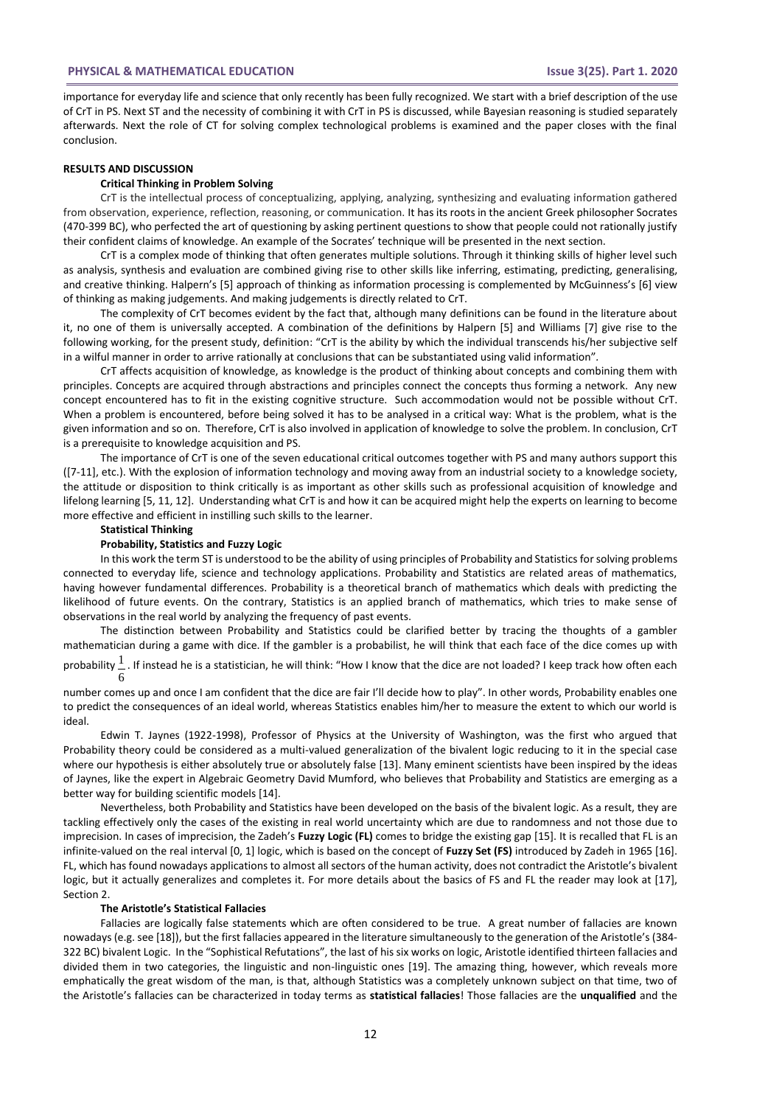## **PHYSICAL & MATHEMATICAL EDUCATION Issue 3(25). Part 1. 2020**

importance for everyday life and science that only recently has been fully recognized. We start with a brief description of the use of CrT in PS. Next ST and the necessity of combining it with CrT in PS is discussed, while Bayesian reasoning is studied separately afterwards. Next the role of CT for solving complex technological problems is examined and the paper closes with the final conclusion.

## **RESULTS AND DISCUSSION**

### **Critical Thinking in Problem Solving**

CrT is the intellectual process of conceptualizing, applying, analyzing, synthesizing and evaluating information gathered from observation, experience, reflection, reasoning, or communication. It has its roots in the ancient Greek philosopher Socrates (470-399 BC), who perfected the art of questioning by asking pertinent questions to show that people could not rationally justify their confident claims of knowledge. An example of the Socrates' technique will be presented in the next section.

CrT is a complex mode of thinking that often generates multiple solutions. Through it thinking skills of higher level such as analysis, synthesis and evaluation are combined giving rise to other skills like inferring, estimating, predicting, generalising, and creative thinking. Halpern's [5] approach of thinking as information processing is complemented by McGuinness's [6] view of thinking as making judgements. And making judgements is directly related to CrT.

The complexity of CrT becomes evident by the fact that, although many definitions can be found in the literature about it, no one of them is universally accepted. A combination of the definitions by Halpern [5] and Williams [7] give rise to the following working, for the present study, definition: "CrT is the ability by which the individual transcends his/her subjective self in a wilful manner in order to arrive rationally at conclusions that can be substantiated using valid information"*.*

CrT affects acquisition of knowledge, as knowledge is the product of thinking about concepts and combining them with principles. Concepts are acquired through abstractions and principles connect the concepts thus forming a network. Any new concept encountered has to fit in the existing cognitive structure. Such accommodation would not be possible without CrT. When a problem is encountered, before being solved it has to be analysed in a critical way: What is the problem, what is the given information and so on. Therefore, CrT is also involved in application of knowledge to solve the problem. In conclusion, CrT is a prerequisite to knowledge acquisition and PS.

The importance of CrT is one of the seven educational critical outcomes together with PS and many authors support this ([7-11], etc.). With the explosion of information technology and moving away from an industrial society to a knowledge society, the attitude or disposition to think critically is as important as other skills such as professional acquisition of knowledge and lifelong learning [5, 11, 12]. Understanding what CrT is and how it can be acquired might help the experts on learning to become more effective and efficient in instilling such skills to the learner.

# **Statistical Thinking**

## **Probability, Statistics and Fuzzy Logic**

In this work the term ST is understood to be the ability of using principles of Probability and Statistics for solving problems connected to everyday life, science and technology applications. Probability and Statistics are related areas of mathematics, having however fundamental differences. Probability is a theoretical branch of mathematics which deals with predicting the likelihood of future events. On the contrary, Statistics is an applied branch of mathematics, which tries to make sense of observations in the real world by analyzing the frequency of past events.

The distinction between Probability and Statistics could be clarified better by tracing the thoughts of a gambler mathematician during a game with dice. If the gambler is a probabilist, he will think that each face of the dice comes up with

probability  $\frac{1}{\epsilon}$  . If instead he is a statistician, he will think: "How I know that the dice are not loaded? I keep track how often each 6

number comes up and once I am confident that the dice are fair I'll decide how to play". In other words, Probability enables one to predict the consequences of an ideal world, whereas Statistics enables him/her to measure the extent to which our world is ideal.

Edwin T. Jaynes (1922-1998), Professor of Physics at the University of Washington, was the first who argued that Probability theory could be considered as a multi-valued generalization of the bivalent logic reducing to it in the special case where our hypothesis is either absolutely true or absolutely false [13]. Many eminent scientists have been inspired by the ideas of Jaynes, like the expert in Algebraic Geometry David Mumford, who believes that Probability and Statistics are emerging as a better way for building scientific models [14].

Nevertheless, both Probability and Statistics have been developed on the basis of the bivalent logic. As a result, they are tackling effectively only the cases of the existing in real world uncertainty which are due to randomness and not those due to imprecision. In cases of imprecision, the Zadeh's **Fuzzy Logic (FL)** comes to bridge the existing gap [15]. It is recalled that FL is an infinite-valued on the real interval [0, 1] logic, which is based on the concept of **Fuzzy Set (FS)** introduced by Zadeh in 1965 [16]. FL, which has found nowadays applications to almost all sectors of the human activity, does not contradict the Aristotle's bivalent logic, but it actually generalizes and completes it. For more details about the basics of FS and FL the reader may look at [17], Section 2.

#### **The Aristotle's Statistical Fallacies**

Fallacies are logically false statements which are often considered to be true. A great number of fallacies are known nowadays (e.g. see [18]), but the first fallacies appeared in the literature simultaneously to the generation of the Aristotle's (384- 322 BC) bivalent Logic. In the "Sophistical Refutations", the last of his six works on logic, Aristotle identified thirteen fallacies and divided them in two categories, the linguistic and non-linguistic ones [19]. The amazing thing, however, which reveals more emphatically the great wisdom of the man, is that, although Statistics was a completely unknown subject on that time, two of the Aristotle's fallacies can be characterized in today terms as **statistical fallacies**! Those fallacies are the **unqualified** and the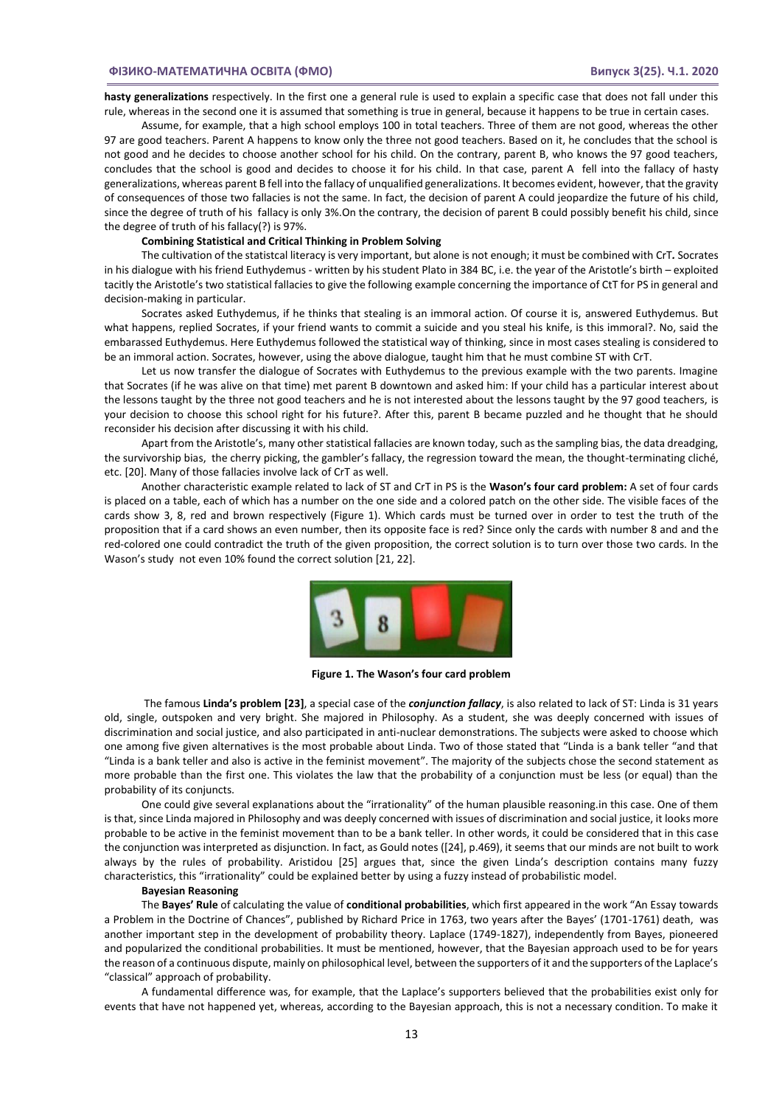**hasty generalizations** respectively. In the first one a general rule is used to explain a specific case that does not fall under this rule, whereas in the second one it is assumed that something is true in general, because it happens to be true in certain cases.

Assume, for example, that a high school employs 100 in total teachers. Three of them are not good, whereas the other 97 are good teachers. Parent A happens to know only the three not good teachers. Based on it, he concludes that the school is not good and he decides to choose another school for his child. On the contrary, parent B, who knows the 97 good teachers, concludes that the school is good and decides to choose it for his child. In that case, parent A fell into the fallacy of hasty generalizations, whereas parent B fell into the fallacy of unqualified generalizations. It becomes evident, however, that the gravity of consequences of those two fallacies is not the same. In fact, the decision of parent A could jeopardize the future of his child, since the degree of truth of his fallacy is only 3%.On the contrary, the decision of parent B could possibly benefit his child, since the degree of truth of his fallacy(?) is 97%.

### **Combining Statistical and Critical Thinking in Problem Solving**

The cultivation of the statistcal literacy is very important, but alone is not enough; it must be combined with CrT*.* Socrates in his dialogue with his friend Euthydemus - written by his student Plato in 384 BC, i.e. the year of the Aristotle's birth – exploited tacitly the Aristotle's two statistical fallacies to give the following example concerning the importance of CtT for PS in general and decision-making in particular.

Socrates asked Euthydemus, if he thinks that stealing is an immoral action. Of course it is, answered Euthydemus. But what happens, replied Socrates, if your friend wants to commit a suicide and you steal his knife, is this immoral?. No, said the embarassed Euthydemus. Here Euthydemus followed the statistical way of thinking, since in most cases stealing is considered to be an immoral action. Socrates, however, using the above dialogue, taught him that he must combine ST with CrT.

Let us now transfer the dialogue of Socrates with Euthydemus to the previous example with the two parents. Imagine that Socrates (if he was alive on that time) met parent B downtown and asked him: If your child has a particular interest about the lessons taught by the three not good teachers and he is not interested about the lessons taught by the 97 good teachers, is your decision to choose this school right for his future?. After this, parent B became puzzled and he thought that he should reconsider his decision after discussing it with his child.

Apart from the Aristotle's, many other statistical fallacies are known today, such as the sampling bias, the data dreadging, the survivorship bias, the cherry picking, the gambler's fallacy, the regression toward the mean, the thought-terminating cliché, etc. [20]. Many of those fallacies involve lack of CrT as well.

Another characteristic example related to lack of ST and CrT in PS is the **Wason's four card problem:** A set of four cards is placed on a table, each of which has a number on the one side and a colored patch on the other side. The visible faces of the cards show 3, 8, red and brown respectively (Figure 1). Which cards must be turned over in order to test the truth of the proposition that if a card shows an even number, then its opposite face is red? Since only the cards with number 8 and and the red-colored one could contradict the truth of the given proposition, the correct solution is to turn over those two cards. In the Wason's study not even 10% found the correct solution [21, 22].



**Figure 1. The Wason's four card problem**

The famous **Linda's problem [23]**, a special case of the *conjunction fallacy*, is also related to lack of ST: Linda is 31 years old, single, outspoken and very bright. She majored in Philosophy. As a student, she was deeply concerned with issues of discrimination and social justice, and also participated in anti-nuclear demonstrations. The subjects were asked to choose which one among five given alternatives is the most probable about Linda. Two of those stated that "Linda is a bank teller "and that "Linda is a bank teller and also is active in the feminist movement". The majority of the subjects chose the second statement as more probable than the first one. This violates the law that the probability of a conjunction must be less (or equal) than the probability of its conjuncts.

One could give several explanations about the "irrationality" of the human plausible reasoning.in this case. One of them is that, since Linda majored in Philosophy and was deeply concerned with issues of discrimination and social justice, it looks more probable to be active in the feminist movement than to be a bank teller. In other words, it could be considered that in this case the conjunction was interpreted as disjunction. In fact, as Gould notes ([24], p.469), it seems that our minds are not built to work always by the rules of probability. Aristidou [25] argues that, since the given Linda's description contains many fuzzy characteristics, this "irrationality" could be explained better by using a fuzzy instead of probabilistic model.

#### **Bayesian Reasoning**

The **Bayes' Rule** of calculating the value of **conditional probabilities**, which first appeared in the work "An Essay towards a Problem in the Doctrine of Chances", published by Richard Price in 1763, two years after the Bayes' (1701-1761) death, was another important step in the development of probability theory. Laplace (1749-1827), independently from Bayes, pioneered and popularized the conditional probabilities. It must be mentioned, however, that the Bayesian approach used to be for years the reason of a continuous dispute, mainly on philosophical level, between the supporters of it and the supporters of the Laplace's "classical" approach of probability.

A fundamental difference was, for example, that the Laplace's supporters believed that the probabilities exist only for events that have not happened yet, whereas, according to the Bayesian approach, this is not a necessary condition. To make it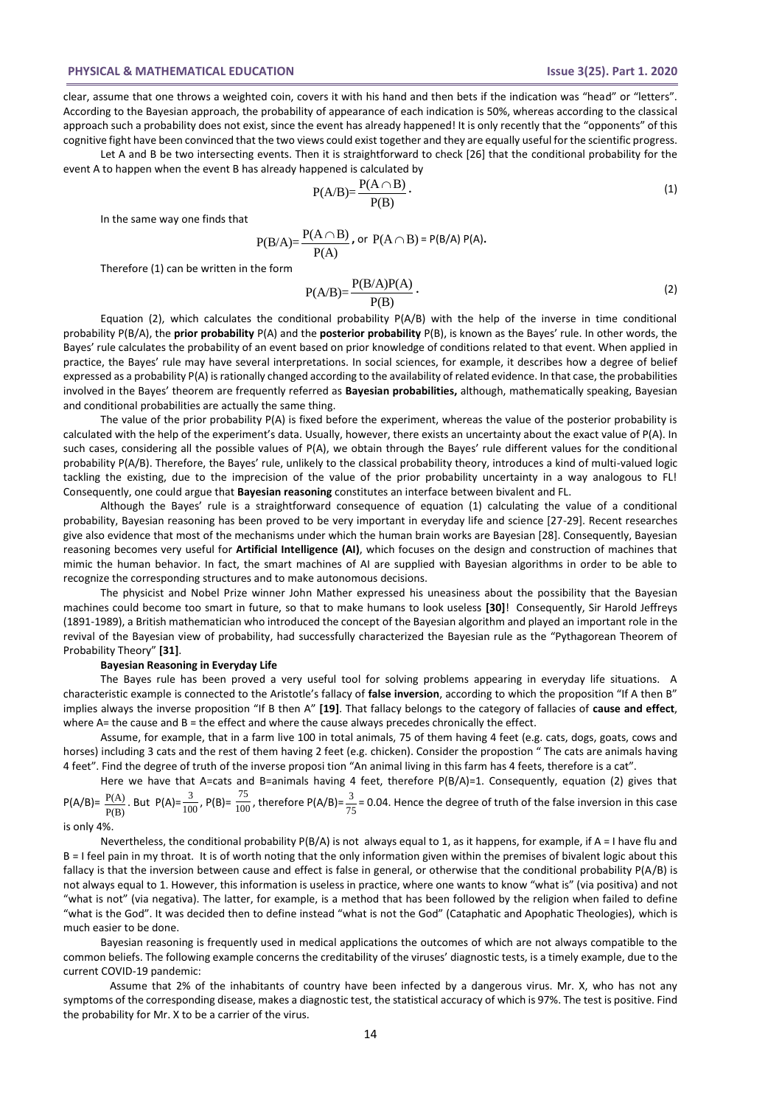## **PHYSICAL & MATHEMATICAL EDUCATION Issue 3(25). Part 1. 2020**

clear, assume that one throws a weighted coin, covers it with his hand and then bets if the indication was "head" or "letters". According to the Bayesian approach, the probability of appearance of each indication is 50%, whereas according to the classical approach such a probability does not exist, since the event has already happened! It is only recently that the "opponents" of this cognitive fight have been convinced that the two views could exist together and they are equally useful for the scientific progress.

Let A and B be two intersecting events. Then it is straightforward to check [26] that the conditional probability for the event A to happen when the event B has already happened is calculated by

$$
P(A/B) = \frac{P(A \cap B)}{P(B)}.
$$
\n(1)

In the same way one finds that

$$
P(B/A) = \frac{P(A \cap B)}{P(A)}, \text{ or } P(A \cap B) = P(B/A) P(A).
$$

Therefore (1) can be written in the form

$$
P(A/B) = \frac{P(B/A)P(A)}{P(B)}.
$$
\n(2)

Equation (2), which calculates the conditional probability  $P(A/B)$  with the help of the inverse in time conditional probability P(B/A), the **prior probability** P(A) and the **posterior probability** P(B), is known as the Bayes' rule. In other words, the Bayes' rule calculates the probability of an event based on prior knowledge of conditions related to that event. When applied in practice, the Bayes' rule may have several interpretations. In social sciences, for example, it describes how a degree of belief expressed as a probability P(A) is rationally changed according to the availability of related evidence. In that case, the probabilities involved in the Bayes' theorem are frequently referred as **Bayesian probabilities,** although, mathematically speaking, Bayesian and conditional probabilities are actually the same thing.

The value of the prior probability P(A) is fixed before the experiment, whereas the value of the posterior probability is calculated with the help of the experiment's data. Usually, however, there exists an uncertainty about the exact value of P(A). In such cases, considering all the possible values of P(A), we obtain through the Bayes' rule different values for the conditional probability P(A/B). Therefore, the Bayes' rule, unlikely to the classical probability theory, introduces a kind of multi-valued logic tackling the existing, due to the imprecision of the value of the prior probability uncertainty in a way analogous to FL! Consequently, one could argue that **Bayesian reasoning** constitutes an interface between bivalent and FL.

Although the Bayes' rule is a straightforward consequence of equation (1) calculating the value of a conditional probability, Bayesian reasoning has been proved to be very important in everyday life and science [27-29]. Recent researches give also evidence that most of the mechanisms under which the human brain works are Bayesian [28]. Consequently, Bayesian reasoning becomes very useful for **Artificial Intelligence (AI)**, which focuses on the design and construction of machines that mimic the human behavior. In fact, the smart machines of AI are supplied with Bayesian algorithms in order to be able to recognize the corresponding structures and to make autonomous decisions.

The physicist and Nobel Prize winner John Mather expressed his uneasiness about the possibility that the Bayesian machines could become too smart in future, so that to make humans to look useless **[30]**! Consequently, Sir Harold Jeffreys (1891-1989), a British mathematician who introduced the concept of the Bayesian algorithm and played an important role in the revival of the Bayesian view of probability, had successfully characterized the Bayesian rule as the "Pythagorean Theorem of Probability Theory" **[31]**.

#### **Bayesian Reasoning in Everyday Life**

The Bayes rule has been proved a very useful tool for solving problems appearing in everyday life situations. A characteristic example is connected to the Aristotle's fallacy of **false inversion**, according to which the proposition "If A then B" implies always the inverse proposition "If B then A" **[19]**. That fallacy belongs to the category of fallacies of **cause and effect**, where A= the cause and B = the effect and where the cause always precedes chronically the effect.

Assume, for example, that in a farm live 100 in total animals, 75 of them having 4 feet (e.g. cats, dogs, goats, cows and horses) including 3 cats and the rest of them having 2 feet (e.g. chicken). Consider the propostion " The cats are animals having 4 feet". Find the degree of truth of the inverse proposi tion "An animal living in this farm has 4 feets, therefore is a cat".

Here we have that A=cats and B=animals having 4 feet, therefore P(B/A)=1. Consequently, equation (2) gives that

 $P(A/B) = \frac{P(A)}{P(A)}$  $\frac{P(A)}{P(B)}$ . But  $P(A) = \frac{3}{100}$  $\frac{3}{100}$ , P(B)=  $\frac{75}{100}$  $\frac{75}{100}$ , therefore P(A/B)= $\frac{3}{75}$  $\frac{3}{75}$  = 0.04. Hence the degree of truth of the false inversion in this case

is only 4%.

Nevertheless, the conditional probability  $P(B/A)$  is not always equal to 1, as it happens, for example, if  $A = I$  have flu and B = I feel pain in my throat. It is of worth noting that the only information given within the premises of bivalent logic about this fallacy is that the inversion between cause and effect is false in general, or otherwise that the conditional probability P(A/B) is not always equal to 1. However, this information is useless in practice, where one wants to know "what is" (via positiva) and not "what is not" (via negativa). The latter, for example, is a method that has been followed by the religion when failed to define "what is the God". It was decided then to define instead "what is not the God" (Cataphatic and Apophatic Theologies), which is much easier to be done.

Bayesian reasoning is frequently used in medical applications the outcomes of which are not always compatible to the common beliefs. The following example concerns the creditability of the viruses' diagnostic tests, is a timely example, due to the current COVID-19 pandemic:

Assume that 2% of the inhabitants of country have been infected by a dangerous virus. Mr. X, who has not any symptoms of the corresponding disease, makes a diagnostic test, the statistical accuracy of which is 97%. The test is positive. Find the probability for Mr. X to be a carrier of the virus.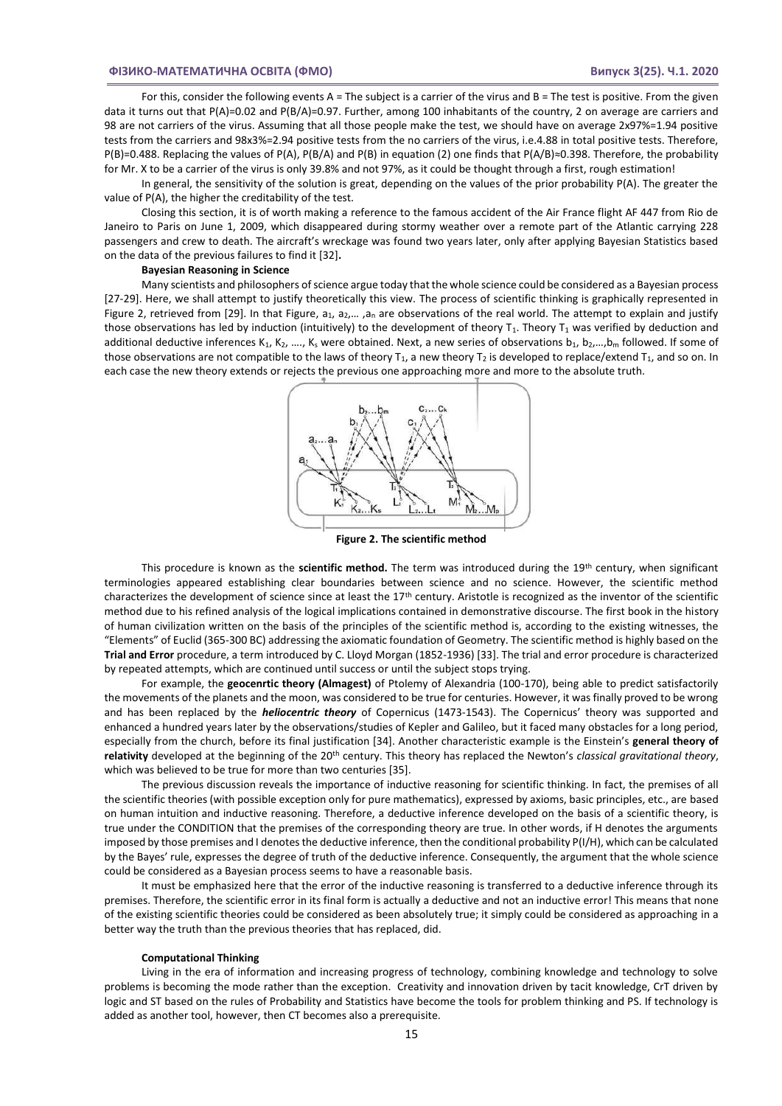**.**

For this, consider the following events  $A =$  The subject is a carrier of the virus and  $B =$  The test is positive. From the given data it turns out that P(A)=0.02 and P(B/A)=0.97. Further, among 100 inhabitants of the country, 2 on average are carriers and 98 are not carriers of the virus. Assuming that all those people make the test, we should have on average 2x97%=1.94 positive tests from the carriers and 98x3%=2.94 positive tests from the no carriers of the virus, i.e.4.88 in total positive tests. Therefore, P(B)=0.488. Replacing the values of P(A), P(B/A) and P(B) in equation (2) one finds that P(A/B)≈0.398. Therefore, the probability for Mr. X to be a carrier of the virus is only 39.8% and not 97%, as it could be thought through a first, rough estimation!

In general, the sensitivity of the solution is great, depending on the values of the prior probability P(A). The greater the value of P(A), the higher the creditability of the test.

Closing this section, it is of worth making a reference to the famous accident of the Air France flight AF 447 from Rio de Janeiro to Paris on June 1, 2009, which disappeared during stormy weather over a remote part of the Atlantic carrying 228 passengers and crew to death. The aircraft's wreckage was found two years later, only after applying Bayesian Statistics based on the data of the previous failures to find it [32]**.**

### **Bayesian Reasoning in Science**

Many scientists and philosophers of science argue today that the whole science could be considered as a Bayesian process [27-29]. Here, we shall attempt to justify theoretically this view. Τhe process of scientific thinking is graphically represented in Figure 2, retrieved from [29]. In that Figure,  $a_1$ ,  $a_2$ ,...,  $a_n$  are observations of the real world. The attempt to explain and justify those observations has led by induction (intuitively) to the development of theory  $T_1$ . Theory  $T_1$  was verified by deduction and additional deductive inferences K<sub>1</sub>, K<sub>2</sub>, …., K<sub>s</sub> were obtained. Next, a new series of observations  $b_1, b_2,...,b_m$  followed. If some of those observations are not compatible to the laws of theory  $T_1$ , a new theory  $T_2$  is developed to replace/extend  $T_1$ , and so on. In each case the new theory extends or rejects the previous one approaching more and more to the absolute truth.



**Figure 2. The scientific method** 

This procedure is known as the **scientific method.** The term was introduced during the 19th century, when significant terminologies appeared establishing clear boundaries between science and no science. However, the scientific method characterizes the development of science since at least the 17<sup>th</sup> century. Aristotle is recognized as the inventor of the scientific method due to his refined analysis of the logical implications contained in demonstrative discourse. The first book in the history of human civilization written on the basis of the principles of the scientific method is, according to the existing witnesses, the "Elements" of Euclid (365-300 BC) addressing the axiomatic foundation of Geometry. The scientific method is highly based on the **Trial and Error** procedure, a term introduced by C. Lloyd Morgan (1852-1936) [33]. The trial and error procedure is characterized by repeated attempts, which are continued until success or until the subject stops trying.

For example, the **geocenrtic theory (Almagest)** of Ptolemy of Alexandria (100-170), being able to predict satisfactorily the movements of the planets and the moon, was considered to be true for centuries. However, it was finally proved to be wrong and has been replaced by the *heliocentric theory* of Copernicus (1473-1543). The Copernicus' theory was supported and enhanced a hundred years later by the observations/studies of Kepler and Galileo, but it faced many obstacles for a long period, especially from the church, before its final justification [34]. Another characteristic example is the Einstein's **general theory of relativity** developed at the beginning of the 20th century. This theory has replaced the Newton's *classical gravitational theory*, which was believed to be true for more than two centuries [35].

The previous discussion reveals the importance of inductive reasoning for scientific thinking. In fact, the premises of all the scientific theories (with possible exception only for pure mathematics), expressed by axioms, basic principles, etc., are based on human intuition and inductive reasoning. Therefore, a deductive inference developed on the basis of a scientific theory, is true under the CONDITION that the premises of the corresponding theory are true. In other words, if H denotes the arguments imposed by those premises and I denotes the deductive inference, then the conditional probability  $P(I/H)$ , which can be calculated by the Bayes' rule, expresses the degree of truth of the deductive inference. Consequently, the argument that the whole science could be considered as a Bayesian process seems to have a reasonable basis.

It must be emphasized here that the error of the inductive reasoning is transferred to a deductive inference through its premises. Therefore, the scientific error in its final form is actually a deductive and not an inductive error! This means that none of the existing scientific theories could be considered as been absolutely true; it simply could be considered as approaching in a better way the truth than the previous theories that has replaced, did.

### **Computational Thinking**

Living in the era of information and increasing progress of technology, combining knowledge and technology to solve problems is becoming the mode rather than the exception. Creativity and innovation driven by tacit knowledge, CrT driven by logic and ST based on the rules of Probability and Statistics have become the tools for problem thinking and PS. If technology is added as another tool, however, then CT becomes also a prerequisite.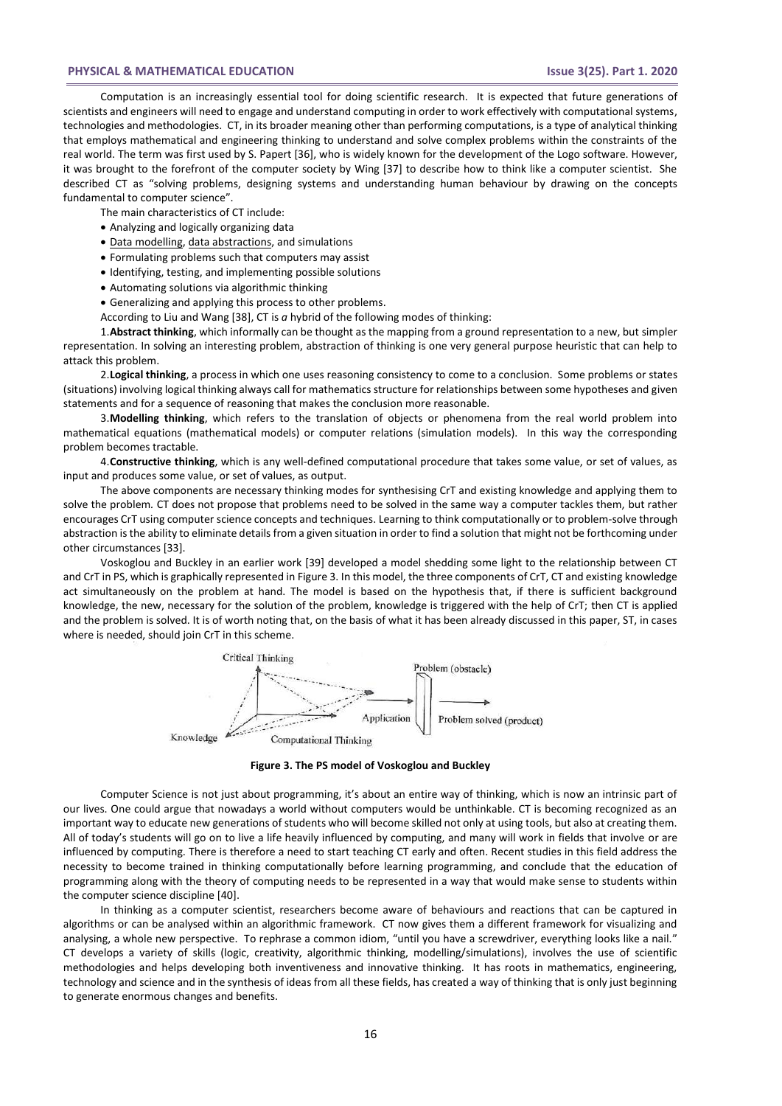## **PHYSICAL & MATHEMATICAL EDUCATION Issue 3(25). Part 1. 2020**

Computation is an increasingly essential tool for doing scientific research. It is expected that future generations of scientists and engineers will need to engage and understand computing in order to work effectively with computational systems, technologies and methodologies. CT, in its broader meaning other than performing computations, is a type of analytical thinking that employs mathematical and engineering thinking to understand and solve complex problems within the constraints of the real world. The term was first used by S. Papert [36], who is widely known for the development of the Logo software. However, it was brought to the forefront of the computer society by Wing [37] to describe how to think like a computer scientist. She described CT as "solving problems, designing systems and understanding human behaviour by drawing on the concepts fundamental to computer science".

The main characteristics of CT include:

- Analyzing and logically organizing data
- Data modelling, data abstractions, and simulations
- Formulating problems such that computers may assist
- Identifying, testing, and implementing possible solutions
- Automating solutions via algorithmic thinking
- Generalizing and applying this process to other problems.
- According to Liu and Wang [38], CT is *a* hybrid of the following modes of thinking:

1.**Abstract thinking**, which informally can be thought as the mapping from a ground representation to a new, but simpler representation. In solving an interesting problem, abstraction of thinking is one very general purpose heuristic that can help to attack this problem.

2.**Logical thinking**, a process in which one uses reasoning consistency to come to a conclusion. Some problems or states (situations) involving logical thinking always call for mathematics structure for relationships between some hypotheses and given statements and for a sequence of reasoning that makes the conclusion more reasonable.

3.**Modelling thinking**, which refers to the translation of objects or phenomena from the real world problem into mathematical equations (mathematical models) or computer relations (simulation models). In this way the corresponding problem becomes tractable.

4.**Constructive thinking**, which is any well-defined computational procedure that takes some value, or set of values, as input and produces some value, or set of values, as output.

The above components are necessary thinking modes for synthesising CrT and existing knowledge and applying them to solve the problem*.* CT does not propose that problems need to be solved in the same way a computer tackles them, but rather encourages CrT using computer science concepts and techniques. Learning to think computationally or to problem-solve through abstraction is the ability to eliminate details from a given situation in order to find a solution that might not be forthcoming under other circumstances [33].

Voskoglou and Buckley in an earlier work [39] developed a model shedding some light to the relationship between CT and CrT in PS, which is graphically represented in Figure 3. In this model, the three components of CrT, CT and existing knowledge act simultaneously on the problem at hand. The model is based on the hypothesis that, if there is sufficient background knowledge, the new, necessary for the solution of the problem, knowledge is triggered with the help of CrT; then CT is applied and the problem is solved. It is of worth noting that, on the basis of what it has been already discussed in this paper, ST, in cases where is needed, should join CrT in this scheme.



**Figure 3. The PS model of Voskoglou and Buckley**

Computer Science is not just about programming, it's about an entire way of thinking, which is now an intrinsic part of our lives. One could argue that nowadays a world without computers would be unthinkable. CT is becoming recognized as an important way to educate new generations of students who will become skilled not only at using tools, but also at creating them. All of today's students will go on to live a life heavily influenced by computing, and many will work in fields that involve or are influenced by computing. There is therefore a need to start teaching CT early and often. Recent studies in this field address the necessity to become trained in thinking computationally before learning programming, and conclude that the education of programming along with the theory of computing needs to be represented in a way that would make sense to students within the computer science discipline [40].

In thinking as a computer scientist, researchers become aware of behaviours and reactions that can be captured in algorithms or can be analysed within an algorithmic framework. CT now gives them a different framework for visualizing and analysing, a whole new perspective. To rephrase a common idiom, "until you have a screwdriver, everything looks like a nail." CT develops a variety of skills (logic, creativity, algorithmic thinking, modelling/simulations), involves the use of scientific methodologies and helps developing both inventiveness and innovative thinking. It has roots in mathematics, engineering, technology and science and in the synthesis of ideas from all these fields, has created a way of thinking that is only just beginning to generate enormous changes and benefits.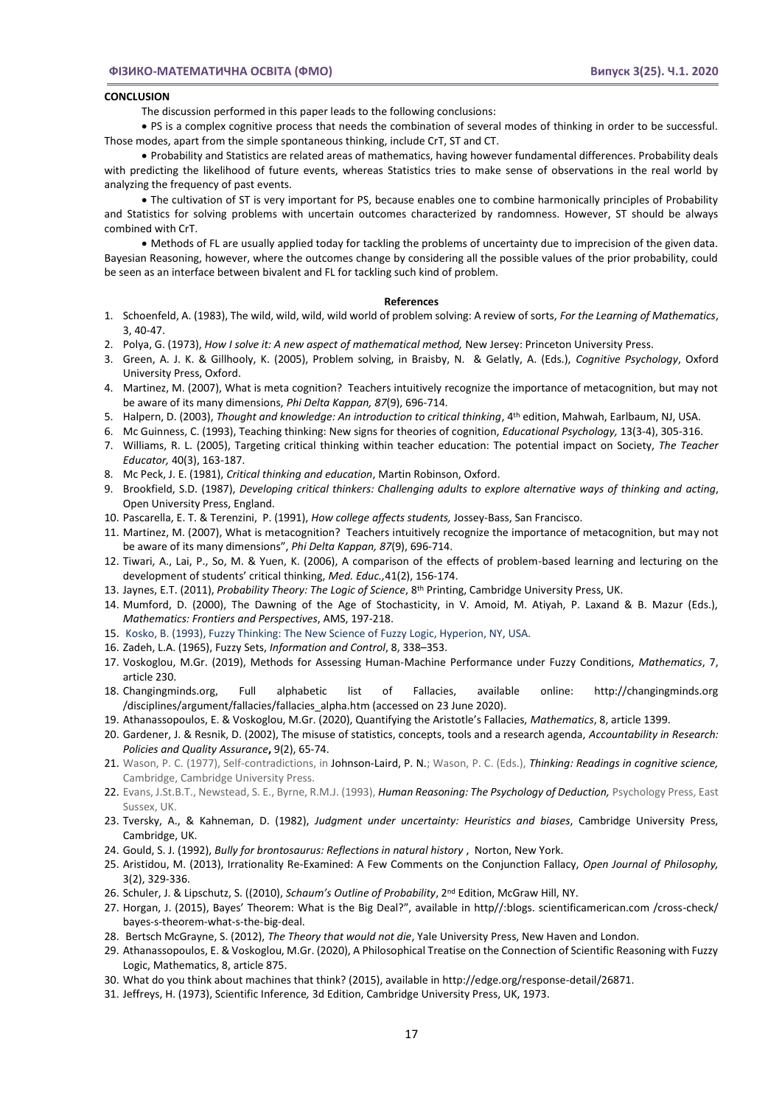### **CONCLUSION**

**.**

The discussion performed in this paper leads to the following conclusions:

 PS is a complex cognitive process that needs the combination of several modes of thinking in order to be successful. Those modes, apart from the simple spontaneous thinking, include CrT, ST and CT.

 Probability and Statistics are related areas of mathematics, having however fundamental differences. Probability deals with predicting the likelihood of future events, whereas Statistics tries to make sense of observations in the real world by analyzing the frequency of past events.

 The cultivation of ST is very important for PS, because enables one to combine harmonically principles of Probability and Statistics for solving problems with uncertain outcomes characterized by randomness. However, ST should be always combined with CrT.

 Methods of FL are usually applied today for tackling the problems of uncertainty due to imprecision of the given data. Bayesian Reasoning, however, where the outcomes change by considering all the possible values of the prior probability, could be seen as an interface between bivalent and FL for tackling such kind of problem.

#### **References**

- 1. Schoenfeld, A. (1983), The wild, wild, wild, wild world of problem solving: A review of sorts, *For the Learning of Mathematics*, 3, 40-47.
- 2. Polya, G. (1973), *How I solve it: A new aspect of mathematical method,* New Jersey: Princeton University Press.
- 3. Green, A. J. K. & Gillhooly, K. (2005), Problem solving, in Braisby, N. & Gelatly, A. (Eds.), *Cognitive Psychology*, Oxford University Press, Oxford.
- 4. Martinez, M. (2007), What is meta cognition? Teachers intuitively recognize the importance of metacognition, but may not be aware of its many dimensions, *Phi Delta Kappan, 87*(9), 696-714.
- 5. Halpern, D. (2003), *Thought and knowledge: An introduction to critical thinking*, 4th edition, Mahwah, Earlbaum, NJ, USA.
- 6. Mc Guinness, C. (1993), Teaching thinking: New signs for theories of cognition, *Educational Psychology,* 13(3-4), 305-316.
- 7. Williams, R. L. (2005), Targeting critical thinking within teacher education: The potential impact on Society, *The Teacher Educator,* 40(3), 163-187.
- 8. Mc Peck, J. E. (1981), *Critical thinking and education*, Martin Robinson, Oxford.
- 9. Brookfield, S.D. (1987), *Developing critical thinkers: Challenging adults to explore alternative ways of thinking and acting*, Open University Press, England.
- 10. Pascarella, E. T. & Terenzini, P. (1991), *How college affects students,* Jossey-Bass, San Francisco.
- 11. Martinez, M. (2007), What is metacognition? Teachers intuitively recognize the importance of metacognition, but may not be aware of its many dimensions", *Phi Delta Kappan, 87*(9), 696-714.
- 12. Tiwari, A., Lai, P., So, M. & Yuen, K. (2006), A comparison of the effects of problem-based learning and lecturing on the development of students' critical thinking, *Med. Educ.,*41(2), 156-174.
- 13. Jaynes, E.T. (2011), *Probability Theory: The Logic of Science*, 8th Printing, Cambridge University Press, UK.
- 14. Mumford, D. (2000), The Dawning of the Age of Stochasticity, in V. Amoid, M. Atiyah, P. Laxand & B. Mazur (Eds.), *Mathematics: Frontiers and Perspectives*, AMS, 197-218.
- 15. Kosko, B. (1993), Fuzzy Thinking: The New Science of Fuzzy Logic, Hyperion, NY, USA.
- 16. Zadeh, L.A. (1965), Fuzzy Sets, *Information and Control*, 8, 338–353.
- 17. Voskoglou, M.Gr. (2019), Methods for Assessing Human-Machine Performance under Fuzzy Conditions, *Mathematics*, 7, article 230.
- 18. Changingminds.org, Full alphabetic list of Fallacies, available online: http://changingminds.org /disciplines/argument/fallacies/fallacies\_alpha.htm (accessed on 23 June 2020).
- 19. Athanassopoulos, E. & Voskoglou, M.Gr. (2020), Quantifying the Aristotle's Fallacies, *Mathematics*, 8, article 1399.
- 20. Gardener, J. & Resnik, D. (2002), The misuse of statistics, concepts, tools and a research agenda, *Accountability in Research: Policies and Quality Assurance***,** 9(2), 65-74.
- 21. Wason, P. C. (1977), Self-contradictions, in Johnson-Laird, P. N.; Wason, P. C. (Eds.), *Thinking: Readings in cognitive science,*  Cambridge, Cambridge University Press.
- 22. Evans, J.St.B.T., Newstead, S. E., Byrne, R.M.J. (1993), *Human Reasoning: The Psychology of Deduction*, Psychology Press, East Sussex, UK.
- 23. Tversky, A., & Kahneman, D. (1982), *Judgment under uncertainty: Heuristics and biases*, Cambridge University Press, Cambridge, UK.
- 24. Gould, S. J. (1992), *Bully for brontosaurus: Reflections in natural history* , Norton, New York.
- 25. Aristidou, M. (2013), Irrationality Re-Examined: A Few Comments on the Conjunction Fallacy, *Open Journal of Philosophy,* 3(2), 329-336.
- 26. Schuler, J. & Lipschutz, S. ((2010), *Schaum's Outline of Probability*, 2nd Edition, McGraw Hill, NY.
- 27. Horgan, J. (2015), Bayes' Theorem: What is the Big Deal?", available in http//:blogs. scientificamerican.com /cross-check/ bayes-s-theorem-what-s-the-big-deal.
- 28. Bertsch McGrayne, S. (2012), *The Theory that would not die*, Yale University Press, New Haven and London.
- 29. Athanassopoulos, E. & Voskoglou, M.Gr. (2020), A Philosophical Treatise on the Connection of Scientific Reasoning with Fuzzy Logic, Mathematics, 8, article 875.
- 30. What do you think about machines that think? (2015), available in http://edge.org/response-detail/26871.
- 31. Jeffreys, H. (1973), Scientific Inference*,* 3d Edition, Cambridge University Press, UK, 1973.